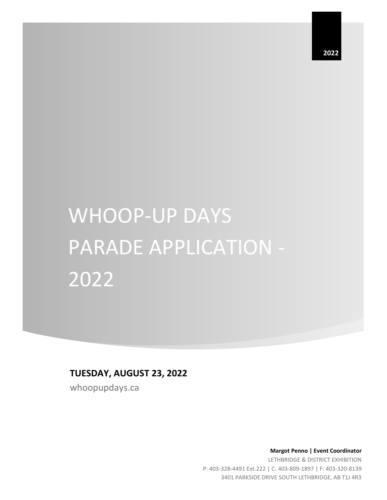**2022**

# WHOOP-UP DAYS PARADE APPLICATION - 2022

## **TUESDAY, AUGUST 23, 2022**

whoopupdays.ca

 **Margot Penno | Event Coordinator** LETHBRIDGE & DISTRICT EXHIBITION P: 403-328-4491 Ext.222 | C: 403-809-1897 | F: 403-320-8139 3401 PARKSIDE DRIVE SOUTH LETHBRIDGE, AB T1J 4R3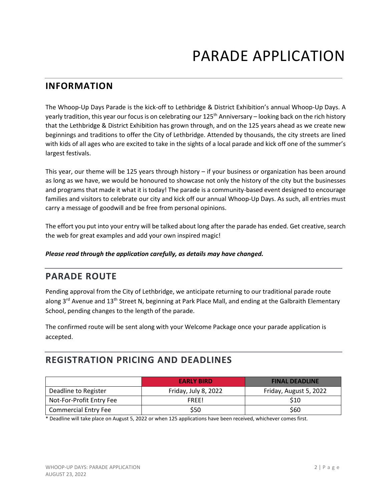## **INFORMATION**

The Whoop-Up Days Parade is the kick-off to Lethbridge & District Exhibition's annual Whoop-Up Days. A yearly tradition, this year our focus is on celebrating our 125<sup>th</sup> Anniversary – looking back on the rich history that the Lethbridge & District Exhibition has grown through, and on the 125 years ahead as we create new beginnings and traditions to offer the City of Lethbridge. Attended by thousands, the city streets are lined with kids of all ages who are excited to take in the sights of a local parade and kick off one of the summer's largest festivals.

This year, our theme will be 125 years through history – if your business or organization has been around as long as we have, we would be honoured to showcase not only the history of the city but the businesses and programs that made it what it is today! The parade is a community-based event designed to encourage families and visitors to celebrate our city and kick off our annual Whoop-Up Days. As such, all entries must carry a message of goodwill and be free from personal opinions.

The effort you put into your entry will be talked about long after the parade has ended. Get creative, search the web for great examples and add your own inspired magic!

*Please read through the application carefully, as details may have changed.*

## **PARADE ROUTE**

Pending approval from the City of Lethbridge, we anticipate returning to our traditional parade route along 3<sup>rd</sup> Avenue and 13<sup>th</sup> Street N, beginning at Park Place Mall, and ending at the Galbraith Elementary School, pending changes to the length of the parade.

The confirmed route will be sent along with your Welcome Package once your parade application is accepted.

## **REGISTRATION PRICING AND DEADLINES**

|                             | <b>EARLY BIRD</b>    | <b>FINAL DEADLINE</b>  |
|-----------------------------|----------------------|------------------------|
| Deadline to Register        | Friday, July 8, 2022 | Friday, August 5, 2022 |
| Not-For-Profit Entry Fee    | FREE!                | \$10                   |
| <b>Commercial Entry Fee</b> | \$50                 | \$60                   |

\* Deadline will take place on August 5, 2022 or when 125 applications have been received, whichever comes first.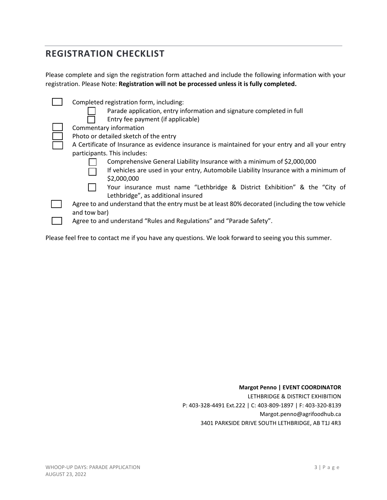## **REGISTRATION CHECKLIST**

Please complete and sign the registration form attached and include the following information with your registration. Please Note: **Registration will not be processed unless it is fully completed.**

| Completed registration form, including:                                                          |
|--------------------------------------------------------------------------------------------------|
| Parade application, entry information and signature completed in full                            |
| Entry fee payment (if applicable)                                                                |
| Commentary information                                                                           |
| Photo or detailed sketch of the entry                                                            |
| A Certificate of Insurance as evidence insurance is maintained for your entry and all your entry |
| participants. This includes:                                                                     |
| Comprehensive General Liability Insurance with a minimum of \$2,000,000                          |
| If vehicles are used in your entry, Automobile Liability Insurance with a minimum of             |
| \$2,000,000                                                                                      |
| Your insurance must name "Lethbridge & District Exhibition" & the "City of                       |
| Lethbridge", as additional insured                                                               |
| Agree to and understand that the entry must be at least 80% decorated (including the tow vehicle |
| and tow bar)                                                                                     |
| Agree to and understand "Rules and Regulations" and "Parade Safety".                             |
|                                                                                                  |

Please feel free to contact me if you have any questions. We look forward to seeing you this summer.

#### **Margot Penno | EVENT COORDINATOR**

LETHBRIDGE & DISTRICT EXHIBITION P: 403-328-4491 Ext.222 | C: 403-809-1897 | F: 403-320-8139 Margot.penno@agrifoodhub.ca 3401 PARKSIDE DRIVE SOUTH LETHBRIDGE, AB T1J 4R3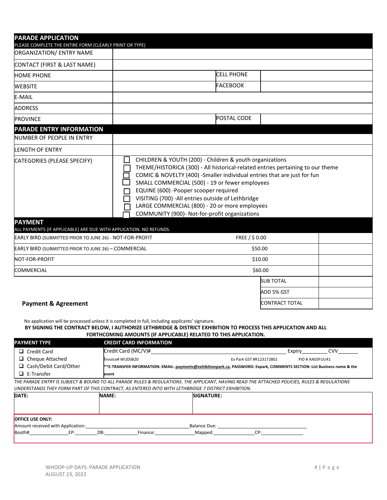| <b>PARADE APPLICATION</b><br>PLEASE COMPLETE THE ENTIRE FORM (CLEARLY PRINT OR TYPE) |                                                                                                                                                                                                                                                                                                                                                                                                                                                                         |                   |                       |  |
|--------------------------------------------------------------------------------------|-------------------------------------------------------------------------------------------------------------------------------------------------------------------------------------------------------------------------------------------------------------------------------------------------------------------------------------------------------------------------------------------------------------------------------------------------------------------------|-------------------|-----------------------|--|
| ORGANIZATION/ ENTRY NAME                                                             |                                                                                                                                                                                                                                                                                                                                                                                                                                                                         |                   |                       |  |
| CONTACT (FIRST & LAST NAME)                                                          |                                                                                                                                                                                                                                                                                                                                                                                                                                                                         |                   |                       |  |
| <b>HOME PHONE</b>                                                                    |                                                                                                                                                                                                                                                                                                                                                                                                                                                                         | <b>CELL PHONE</b> |                       |  |
| <b>WEBSITE</b>                                                                       |                                                                                                                                                                                                                                                                                                                                                                                                                                                                         | <b>FACEBOOK</b>   |                       |  |
| E-MAIL                                                                               |                                                                                                                                                                                                                                                                                                                                                                                                                                                                         |                   |                       |  |
| <b>ADDRESS</b>                                                                       |                                                                                                                                                                                                                                                                                                                                                                                                                                                                         |                   |                       |  |
| <b>PROVINCE</b>                                                                      |                                                                                                                                                                                                                                                                                                                                                                                                                                                                         | POSTAL CODE       |                       |  |
| <b>PARADE ENTRY INFORMATION</b><br>NUMBER OF PEOPLE IN ENTRY                         |                                                                                                                                                                                                                                                                                                                                                                                                                                                                         |                   |                       |  |
| LENGTH OF ENTRY                                                                      |                                                                                                                                                                                                                                                                                                                                                                                                                                                                         |                   |                       |  |
| CATEGORIES (PLEASE SPECIFY)                                                          | CHILDREN & YOUTH (200) - Children & youth organizations<br>THEME/HISTORICA (300) - All historical-related entries pertaining to our theme<br>COMIC & NOVELTY (400) -Smaller individual entries that are just for fun<br>SMALL COMMERCIAL (500) - 19 or fewer employees<br>EQUINE (600) -Pooper scooper required<br>VISITING (700) - All entries outside of Lethbridge<br>LARGE COMMERCIAL (800) - 20 or more employees<br>COMMUNITY (900)- Not-for-profit organizations |                   |                       |  |
| <b>PAYMENT</b><br>ALL PAYMENTS (IF APPLICABLE) ARE DUE WITH APPLICATION. NO REFUNDS. |                                                                                                                                                                                                                                                                                                                                                                                                                                                                         |                   |                       |  |
| EARLY BIRD (SUBMITTED PRIOR TO JUNE 26) - NOT-FOR-PROFIT                             |                                                                                                                                                                                                                                                                                                                                                                                                                                                                         | FREE / \$0.00     |                       |  |
| EARLY BIRD (SUBMITTED PRIOR TO JUNE 26) - COMMERCIAL                                 |                                                                                                                                                                                                                                                                                                                                                                                                                                                                         |                   | \$50.00               |  |
| NOT-FOR-PROFIT                                                                       |                                                                                                                                                                                                                                                                                                                                                                                                                                                                         |                   | \$10.00               |  |
| <b>COMMERCIAL</b>                                                                    |                                                                                                                                                                                                                                                                                                                                                                                                                                                                         |                   | \$60.00               |  |
|                                                                                      |                                                                                                                                                                                                                                                                                                                                                                                                                                                                         |                   | <b>SUB TOTAL</b>      |  |
|                                                                                      |                                                                                                                                                                                                                                                                                                                                                                                                                                                                         |                   | ADD 5% GST            |  |
| <b>Payment &amp; Agreement</b>                                                       |                                                                                                                                                                                                                                                                                                                                                                                                                                                                         |                   | <b>CONTRACT TOTAL</b> |  |

No application will be processed unless it is completed in full, including applicants' signature.

#### **BY SIGNING THE CONTRACT BELOW, I AUTHORIZE LETHBRIDGE & DISTRICT EXHIBITION TO PROCESS THIS APPLICATION AND ALL FORTHCOMING AMOUNTS (IF APPLICABLE) RELATED TO THIS APPLICATION.**

| <b>PAYMENT TYPE</b>          | <b>CREDIT CARD INFORMATION</b> |                                                                                                                                            |                 |  |
|------------------------------|--------------------------------|--------------------------------------------------------------------------------------------------------------------------------------------|-----------------|--|
| $\Box$ Credit Card           | Credit Card (MC/V)#            |                                                                                                                                            | CVV<br>Expiry   |  |
| $\Box$ Cheque Attached       | Invoice# WUD0820               | Ex Park GST #R123172801                                                                                                                    | PID # AA03FUU41 |  |
| $\Box$ Cash/Debit Card/Other |                                | **E-TRANSFER INFORMATION: EMAIL: payments@exhibitionpark.ca, PASSWORD: Expark, COMMENTS SECTION: List Business name & the                  |                 |  |
| $\Box$ E-Transfer            | levent                         |                                                                                                                                            |                 |  |
|                              |                                | THE DARADE ENTRY IS SURIECT & ROUND TO ALL DARADE RULES & REGULATIONS. THE ADDUCANT, HAVING READ THE ATTACHED DOUCIES, RULES & REGULATIONS |                 |  |

*THE PARADE ENTRY IS SUBJECT & BOUND TO ALL PARADE RULES & REGULATIONS. THE APPLICANT, HAVING READ THE ATTACHED POLICIES, RULES & REGULATIONS UNDERSTANDS THEY FORM PART OF THIS CONTRACT, AS ENTERED INTO WITH LETHBRIDGE 7 DISTRICT EXHIBITION.*

| DATE:                             | <b>NAME:</b>    | <b>SIGNATURE:</b>   |  |  |
|-----------------------------------|-----------------|---------------------|--|--|
|                                   |                 |                     |  |  |
| <b>OFFICE USE ONLY:</b>           |                 |                     |  |  |
| Amount received with Application: |                 | <b>Balance Due:</b> |  |  |
| Booth#<br>EP:                     | DB:<br>Finance: | Mapped:<br>CP:      |  |  |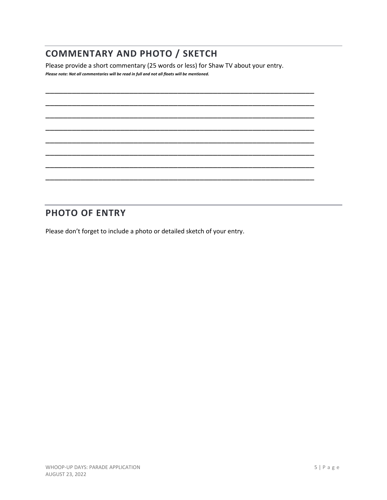## **COMMENTARY AND PHOTO / SKETCH**

Please provide a short commentary (25 words or less) for Shaw TV about your entry. *Please note: Not all commentaries will be read in full and not all floats will be mentioned.*

\_\_\_\_\_\_\_\_\_\_\_\_\_\_\_\_\_\_\_\_\_\_\_\_\_\_\_\_\_\_\_\_\_\_\_\_\_\_\_\_\_\_\_\_\_\_\_\_\_\_\_\_\_\_\_\_\_\_\_\_\_ \_\_\_\_\_\_\_\_\_\_\_\_\_\_\_\_\_\_\_\_\_\_\_\_\_\_\_\_\_\_\_\_\_\_\_\_\_\_\_\_\_\_\_\_\_\_\_\_\_\_\_\_\_\_\_\_\_\_\_\_\_ \_\_\_\_\_\_\_\_\_\_\_\_\_\_\_\_\_\_\_\_\_\_\_\_\_\_\_\_\_\_\_\_\_\_\_\_\_\_\_\_\_\_\_\_\_\_\_\_\_\_\_\_\_\_\_\_\_\_\_\_\_ \_\_\_\_\_\_\_\_\_\_\_\_\_\_\_\_\_\_\_\_\_\_\_\_\_\_\_\_\_\_\_\_\_\_\_\_\_\_\_\_\_\_\_\_\_\_\_\_\_\_\_\_\_\_\_\_\_\_\_\_\_ \_\_\_\_\_\_\_\_\_\_\_\_\_\_\_\_\_\_\_\_\_\_\_\_\_\_\_\_\_\_\_\_\_\_\_\_\_\_\_\_\_\_\_\_\_\_\_\_\_\_\_\_\_\_\_\_\_\_\_\_\_ \_\_\_\_\_\_\_\_\_\_\_\_\_\_\_\_\_\_\_\_\_\_\_\_\_\_\_\_\_\_\_\_\_\_\_\_\_\_\_\_\_\_\_\_\_\_\_\_\_\_\_\_\_\_\_\_\_\_\_\_\_ \_\_\_\_\_\_\_\_\_\_\_\_\_\_\_\_\_\_\_\_\_\_\_\_\_\_\_\_\_\_\_\_\_\_\_\_\_\_\_\_\_\_\_\_\_\_\_\_\_\_\_\_\_\_\_\_\_\_\_\_\_ \_\_\_\_\_\_\_\_\_\_\_\_\_\_\_\_\_\_\_\_\_\_\_\_\_\_\_\_\_\_\_\_\_\_\_\_\_\_\_\_\_\_\_\_\_\_\_\_\_\_\_\_\_\_\_\_\_\_\_\_\_

## **PHOTO OF ENTRY**

Please don't forget to include a photo or detailed sketch of your entry.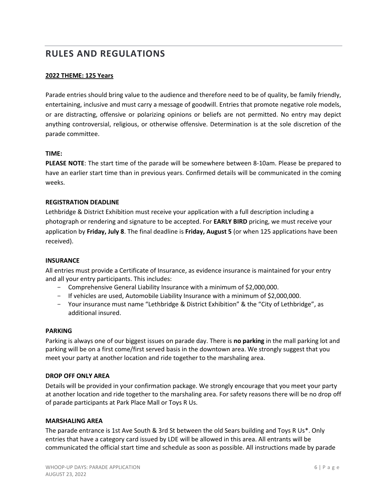## **RULES AND REGULATIONS**

#### **2022 THEME: 125 Years**

Parade entries should bring value to the audience and therefore need to be of quality, be family friendly, entertaining, inclusive and must carry a message of goodwill. Entries that promote negative role models, or are distracting, offensive or polarizing opinions or beliefs are not permitted. No entry may depict anything controversial, religious, or otherwise offensive. Determination is at the sole discretion of the parade committee.

#### **TIME:**

**PLEASE NOTE**: The start time of the parade will be somewhere between 8-10am. Please be prepared to have an earlier start time than in previous years. Confirmed details will be communicated in the coming weeks.

#### **REGISTRATION DEADLINE**

Lethbridge & District Exhibition must receive your application with a full description including a photograph or rendering and signature to be accepted. For **EARLY BIRD** pricing, we must receive your application by **Friday, July 8**. The final deadline is **Friday, August 5** (or when 125 applications have been received).

#### **INSURANCE**

All entries must provide a Certificate of Insurance, as evidence insurance is maintained for your entry and all your entry participants. This includes:

- Comprehensive General Liability Insurance with a minimum of \$2,000,000.
- If vehicles are used, Automobile Liability Insurance with a minimum of \$2,000,000.
- Your insurance must name "Lethbridge & District Exhibition" & the "City of Lethbridge", as additional insured.

#### **PARKING**

Parking is always one of our biggest issues on parade day. There is **no parking** in the mall parking lot and parking will be on a first come/first served basis in the downtown area. We strongly suggest that you meet your party at another location and ride together to the marshaling area.

#### **DROP OFF ONLY AREA**

Details will be provided in your confirmation package. We strongly encourage that you meet your party at another location and ride together to the marshaling area. For safety reasons there will be no drop off of parade participants at Park Place Mall or Toys R Us.

#### **MARSHALING AREA**

The parade entrance is 1st Ave South & 3rd St between the old Sears building and Toys R Us\*. Only entries that have a category card issued by LDE will be allowed in this area. All entrants will be communicated the official start time and schedule as soon as possible. All instructions made by parade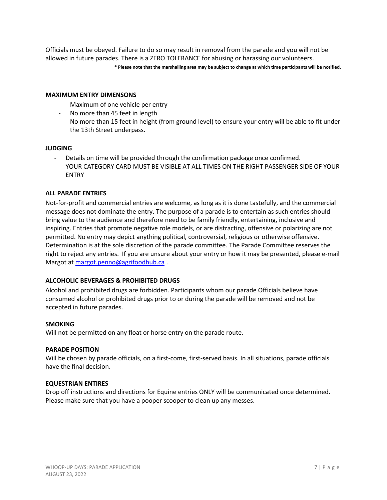Officials must be obeyed. Failure to do so may result in removal from the parade and you will not be allowed in future parades. There is a ZERO TOLERANCE for abusing or harassing our volunteers.

**\* Please note that the marshalling area may be subject to change at which time participants will be notified.**

#### **MAXIMUM ENTRY DIMENSONS**

- Maximum of one vehicle per entry
- No more than 45 feet in length
- No more than 15 feet in height (from ground level) to ensure your entry will be able to fit under the 13th Street underpass.

#### **JUDGING**

- Details on time will be provided through the confirmation package once confirmed.
- YOUR CATEGORY CARD MUST BE VISIBLE AT ALL TIMES ON THE RIGHT PASSENGER SIDE OF YOUR ENTRY

#### **ALL PARADE ENTRIES**

Not-for-profit and commercial entries are welcome, as long as it is done tastefully, and the commercial message does not dominate the entry. The purpose of a parade is to entertain as such entries should bring value to the audience and therefore need to be family friendly, entertaining, inclusive and inspiring. Entries that promote negative role models, or are distracting, offensive or polarizing are not permitted. No entry may depict anything political, controversial, religious or otherwise offensive. Determination is at the sole discretion of the parade committee. The Parade Committee reserves the right to reject any entries. If you are unsure about your entry or how it may be presented, please e-mail Margot at [margot.penno@agrifoodhub.ca](mailto:margot.penno@agrifoodhub.ca).

#### **ALCOHOLIC BEVERAGES & PROHIBITED DRUGS**

Alcohol and prohibited drugs are forbidden. Participants whom our parade Officials believe have consumed alcohol or prohibited drugs prior to or during the parade will be removed and not be accepted in future parades.

#### **SMOKING**

Will not be permitted on any float or horse entry on the parade route.

#### **PARADE POSITION**

Will be chosen by parade officials, on a first-come, first-served basis. In all situations, parade officials have the final decision.

#### **EQUESTRIAN ENTIRES**

Drop off instructions and directions for Equine entries ONLY will be communicated once determined. Please make sure that you have a pooper scooper to clean up any messes.